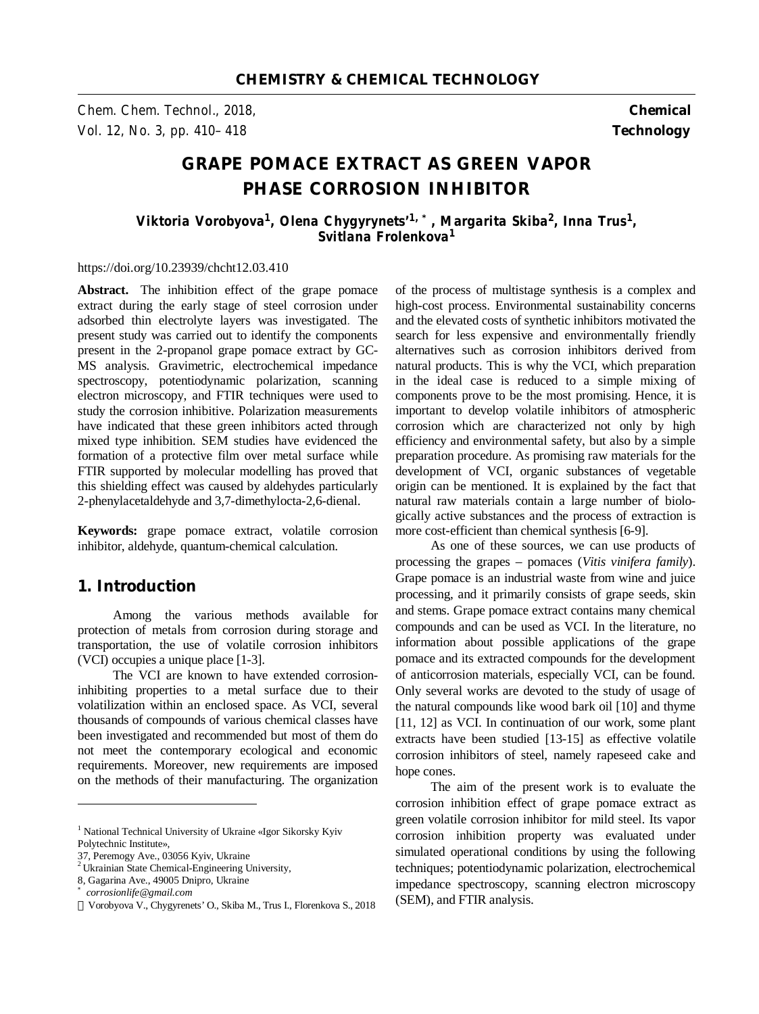*Chem. Chem. Technol., 2018,* **Chemical**  *Vol. 12, No. 3, pp. 410–418* **Technology** 

# **GRAPE POMACE EXTRACT AS GREEN VAPOR PHASE CORROSION INHIBITOR**

*Viktoria Vorobyova<sup>1</sup> , Olena Chygyrynets'1, \*, Margarita Skiba<sup>2</sup> , Inna Trus<sup>1</sup> , Svitlana Frolenkova<sup>1</sup>*

#### https://doi.org/10.23939/chcht12.03.410

Abstract. The inhibition effect of the grape pomace extract during the early stage of steel corrosion under adsorbed thin electrolyte layers was investigated. The present study was carried out to identify the components present in the 2-propanol grape pomace extract by GC-MS analysis. Gravimetric, electrochemical impedance spectroscopy, potentiodynamic polarization, scanning electron microscopy, and FTIR techniques were used to study the corrosion inhibitive. Polarization measurements have indicated that these green inhibitors acted through mixed type inhibition. SEM studies have evidenced the formation of a protective film over metal surface while FTIR supported by molecular modelling has proved that this shielding effect was caused by aldehydes particularly 2-phenylacetaldehyde and 3,7-dimethylocta-2,6-dienal.

**Keywords:** grape pomace extract, volatile corrosion inhibitor, aldehyde, quantum-chemical calculation.

# **1. Introduction**

Among the various methods available for protection of metals from corrosion during storage and transportation, the use of volatile corrosion inhibitors (VCI) occupies a unique place [1-3].

The VCI are known to have extended corrosioninhibiting properties to a metal surface due to their volatilization within an enclosed space. As VCI, several thousands of compounds of various chemical classes have been investigated and recommended but most of them do not meet the contemporary ecological and economic requirements. Moreover, new requirements are imposed on the methods of their manufacturing. The organization

 $\overline{a}$ 

of the process of multistage synthesis is a complex and high-cost process. Environmental sustainability concerns and the elevated costs of synthetic inhibitors motivated the search for less expensive and environmentally friendly alternatives such as corrosion inhibitors derived from natural products. This is why the VCI, which preparation in the ideal case is reduced to a simple mixing of components prove to be the most promising. Hence, it is important to develop volatile inhibitors of atmospheric corrosion which are characterized not only by high efficiency and environmental safety, but also by a simple preparation procedure. As promising raw materials for the development of VCI, organic substances of vegetable origin can be mentioned. It is explained by the fact that natural raw materials contain a large number of biologically active substances and the process of extraction is more cost-efficient than chemical synthesis [6-9].

As one of these sources, we can use products of processing the grapes – pomaces (*Vitis vinifera family*). Grape pomace is an industrial waste from wine and juice processing, and it primarily consists of grape seeds, skin and stems. Grape pomace extract contains many chemical compounds and can be used as VCI. In the literature, no information about possible applications of the grape pomace and its extracted compounds for the development of anticorrosion materials, especially VCI, can be found. Only several works are devoted to the study of usage of the natural compounds like wood bark oil [10] and thyme [11, 12] as VCI. In continuation of our work, some plant extracts have been studied [13-15] as effective volatile corrosion inhibitors of steel, namely rapeseed cake and hope cones.

The aim of the present work is to evaluate the corrosion inhibition effect of grape pomace extract as green volatile corrosion inhibitor for mild steel. Its vapor corrosion inhibition property was evaluated under simulated operational conditions by using the following techniques; potentiodynamic polarization, electrochemical impedance spectroscopy, scanning electron microscopy (SEM), and FTIR analysis.

<sup>&</sup>lt;sup>1</sup> National Technical University of Ukraine «Igor Sikorsky Kyiv Polytechnic Institute»,

<sup>37,</sup> Peremogy Ave., 03056 Kyiv, Ukraine

<sup>&</sup>lt;sup>2</sup> Ukrainian State Chemical-Engineering University,

<sup>8,</sup> Gagarina Ave., 49005 Dnipro, Ukraine

*<sup>\*</sup> corrosionlife@gmail.com* 

Vorobyova V., Chygyrenets' O., Skiba M., Trus I., Florenkova S., 2018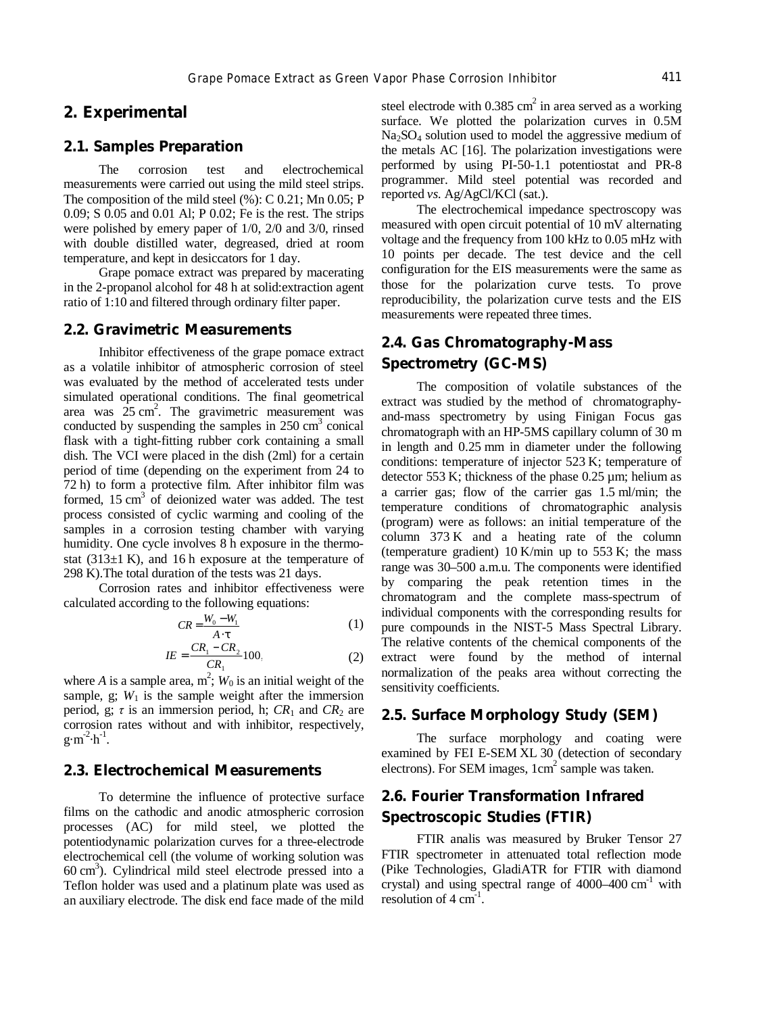# **2. Experimental**

### **2.1. Samples Preparation**

The corrosion test and electrochemical measurements were carried out using the mild steel strips. The composition of the mild steel (%): C 0.21; Mn 0.05; P 0.09; S 0.05 and 0.01 Al; P 0.02; Fe is the rest. The strips were polished by emery paper of 1/0, 2/0 and 3/0, rinsed with double distilled water, degreased, dried at room temperature, and kept in desiccators for 1 day.

Grape pomace extract was prepared by macerating in the 2-propanol alcohol for 48 h at solid:extraction agent ratio of 1:10 and filtered through ordinary filter paper.

### **2.2. Gravimetric Measurements**

Inhibitor effectiveness of the grape pomace extract as a volatile inhibitor of atmospheric corrosion of steel was evaluated by the method of accelerated tests under simulated operational conditions. The final geometrical area was  $25 \text{ cm}^2$ . The gravimetric measurement was conducted by suspending the samples in  $250 \text{ cm}^3$  conical flask with a tight-fitting rubber cork containing a small dish. The VCI were placed in the dish (2ml) for a certain period of time (depending on the experiment from 24 to 72 h) to form a protective film. After inhibitor film was formed,  $15 \text{ cm}^3$  of deionized water was added. The test process consisted of cyclic warming and cooling of the samples in a corrosion testing chamber with varying humidity. One cycle involves 8 h exposure in the thermostat  $(313\pm1)$  K), and 16 h exposure at the temperature of 298 K).The total duration of the tests was 21 days.

Corrosion rates and inhibitor effectiveness were calculated according to the following equations:

$$
CR = \frac{W_0 - W_1}{A \cdot t}
$$
 (1)

$$
IE = \frac{CR_1 - CR_2}{CR_1} 100.
$$
 (2)

where *A* is a sample area,  $m^2$ ;  $W_0$  is an initial weight of the sample, g;  $W_1$  is the sample weight after the immersion period, g;  $\tau$  is an immersion period, h;  $CR_1$  and  $CR_2$  are corrosion rates without and with inhibitor, respectively,  $g \cdot m^{-2} \cdot h^{-1}$ .

### **2.3. Electrochemical Measurements**

To determine the influence of protective surface films on the cathodic and anodic atmospheric corrosion processes (AC) for mild steel, we plotted the potentiodynamic polarization curves for a three-electrode electrochemical cell (the volume of working solution was 60 cm 3 ). Cylindrical mild steel electrode pressed into a Teflon holder was used and a platinum plate was used as an auxiliary electrode. The disk end face made of the mild

steel electrode with  $0.385 \text{ cm}^2$  in area served as a working surface. We plotted the polarization curves in 0.5М  $Na<sub>2</sub>SO<sub>4</sub>$  solution used to model the aggressive medium of the metals AC [16]. The polarization investigations were performed by using PI-50-1.1 potentiostat and PR-8 programmer. Mild steel potential was recorded and reported *vs*. Ag/AgCl/KCl (sat.).

The electrochemical impedance spectroscopy was measured with open circuit potential of 10 mV alternating voltage and the frequency from 100 kHz to 0.05 mHz with 10 points per decade. The test device and the cell configuration for the EIS measurements were the same as those for the polarization curve tests. To prove reproducibility, the polarization curve tests and the EIS measurements were repeated three times.

# **2.4. Gas Chromatography-Mass Spectrometry (GC-MS)**

The composition of volatile substances of the extract was studied by the method of chromatographyand-mass spectrometry by using Finigan Focus gas chromatograph with an НР-5MS capillary column of 30 m in length and 0.25 mm in diameter under the following conditions: temperature of injector 523 K; temperature of detector 553 K; thickness of the phase  $0.25 \mu m$ ; helium as a carrier gas; flow of the carrier gas 1.5 ml/min; the temperature conditions of chromatographic analysis (program) were as follows: an initial temperature of the column 373 K and a heating rate of the column (temperature gradient)  $10$  K/min up to 553 K; the mass range was 30–500 a.m.u. The components were identified by comparing the peak retention times in the chromatogram and the complete mass-spectrum of individual components with the corresponding results for pure compounds in the NIST-5 Mass Spectral Library. The relative contents of the chemical components of the extract were found by the method of internal normalization of the peaks area without correcting the sensitivity coefficients.

### **2.5. Surface Morphology Study (SEM)**

The surface morphology and coating were examined by FEI E-SEM XL 30 (detection of secondary electrons). For SEM images, 1cm 2 sample was taken.

# **2.6. Fourier Transformation Infrared Spectroscopic Studies (FTIR)**

FTIR analis was measured by Bruker Tensor 27 FTIR spectrometer in attenuated total reflection mode (Pike Technologies, GladiATR for FTIR with diamond crystal) and using spectral range of  $4000-400$  cm<sup>-1</sup> with resolution of  $4 \text{ cm}^{-1}$ .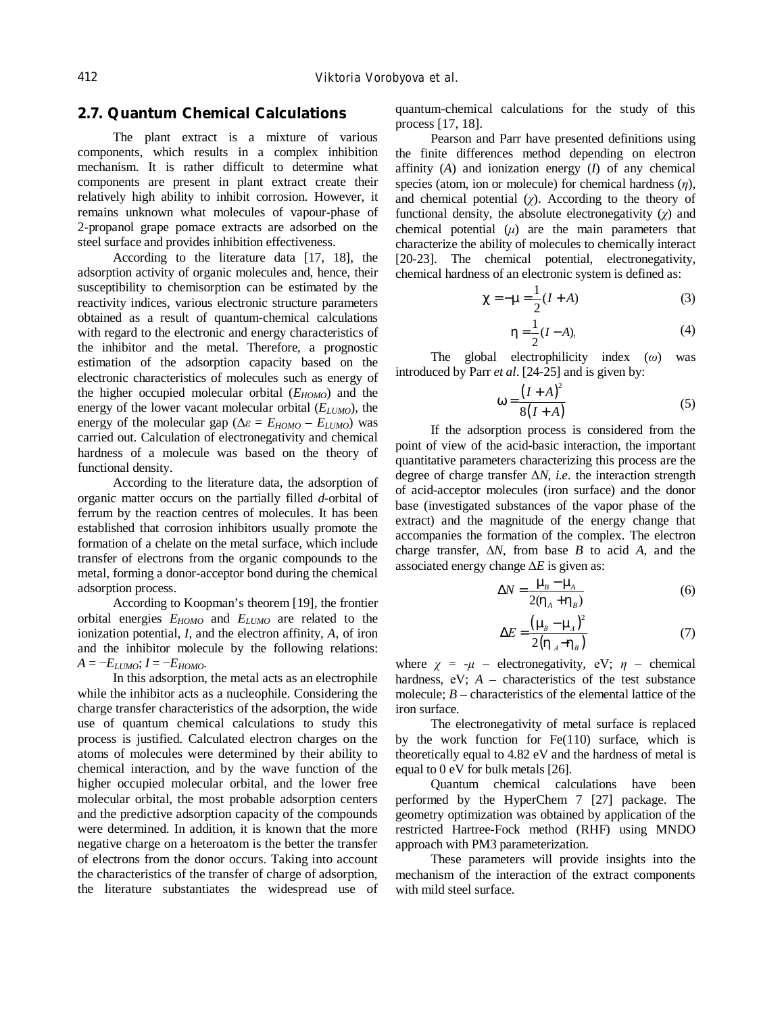## **2.7. Quantum Chemical Calculations**

The plant extract is a mixture of various components, which results in a complex inhibition mechanism. It is rather difficult to determine what components are present in plant extract create their relatively high ability to inhibit corrosion. However, it remains unknown what molecules of vapour-phase of 2-propanol grape pomace extracts are adsorbed on the steel surface and provides inhibition effectiveness.

According to the literature data [17, 18], the adsorption activity of organic molecules and, hence, their susceptibility to chemisorption can be estimated by the reactivity indices, various electronic structure parameters obtained as a result of quantum-chemical calculations with regard to the electronic and energy characteristics of the inhibitor and the metal. Therefore, a prognostic estimation of the adsorption capacity based on the electronic characteristics of molecules such as energy of the higher occupied molecular orbital (*EHOMO*) and the energy of the lower vacant molecular orbital  $(E_{LUMO})$ , the energy of the molecular gap ( $\Delta \varepsilon = E_{HOMO} - E_{LUMO}$ ) was carried out. Calculation of electronegativity and chemical hardness of a molecule was based on the theory of functional density.

According to the literature data, the adsorption of organic matter occurs on the partially filled *d*-orbital of ferrum by the reaction centres of molecules. It has been established that corrosion inhibitors usually promote the formation of a chelate on the metal surface, which include transfer of electrons from the organic compounds to the metal, forming a donor-acceptor bond during the chemical adsorption process.

According to Koopman's theorem [19], the frontier orbital energies *EHOMO* and *ELUMO* are related to the ionization potential, *I*, and the electron affinity, *A*, of iron and the inhibitor molecule by the following relations:  $A = -E_L$ *UMO*;  $I = -E_H$ *OMO.* 

In this adsorption, the metal acts as an electrophile while the inhibitor acts as a nucleophile. Considering the charge transfer characteristics of the adsorption, the wide use of quantum chemical calculations to study this process is justified. Calculated electron charges on the atoms of molecules were determined by their ability to chemical interaction, and by the wave function of the higher occupied molecular orbital, and the lower free molecular orbital, the most probable adsorption centers and the predictive adsorption capacity of the compounds were determined. In addition, it is known that the more negative charge on a heteroatom is the better the transfer of electrons from the donor occurs. Taking into account the characteristics of the transfer of charge of adsorption, the literature substantiates the widespread use of quantum-chemical calculations for the study of this process [17, 18].

Pearson and Parr have presented definitions using the finite differences method depending on electron affinity (*A*) and ionization energy (*I*) of any chemical species (atom, ion or molecule) for chemical hardness (*η*), and chemical potential (*χ*). According to the theory of functional density, the absolute electronegativity  $(\chi)$  and chemical potential  $(\mu)$  are the main parameters that characterize the ability of molecules to chemically interact [20-23]. The chemical potential, electronegativity, chemical hardness of an electronic system is defined as:

$$
c = -m = \frac{1}{2}(I + A)
$$
 (3)

$$
h = \frac{1}{2}(I - A),
$$
 (4)

The global electrophilicity index (*ω*) was introduced by Parr *et al*. [24-25] and is given by:

$$
W = \frac{\left(I + A\right)^2}{8\left(I + A\right)}\tag{5}
$$

If the adsorption process is considered from the point of view of the acid-basic interaction, the important quantitative parameters characterizing this process are the degree of charge transfer Δ*N*, *i.e.* the interaction strength of acid-acceptor molecules (iron surface) and the donor base (investigated substances of the vapor phase of the extract) and the magnitude of the energy change that accompanies the formation of the complex. The electron charge transfer, ∆*N*, from base *B* to acid *A*, and the associated energy change ∆*E* is given as:

$$
\Delta N = \frac{m_B - m_A}{2(h_A + h_B)}\tag{6}
$$

$$
\Delta E = \frac{\left(m_B - m_A\right)^2}{2\left(h_A - h_B\right)}\tag{7}
$$

where  $\chi = -\mu$  – electronegativity, eV;  $\eta$  – chemical hardness,  $eV$ ;  $A -$  characteristics of the test substance molecule;  $B$  – characteristics of the elemental lattice of the iron surface.

The electronegativity of metal surface is replaced by the work function for Fe(110) surface, which is theoretically equal to 4.82 eV and the hardness of metal is equal to 0 eV for bulk metals [26].

Quantum chemical calculations have been performed by the HyperChem 7 [27] package. The geometry optimization was obtained by application of the restricted Hartree-Fock method (RHF) using MNDO approach with PM3 parameterization.

These parameters will provide insights into the mechanism of the interaction of the extract components with mild steel surface.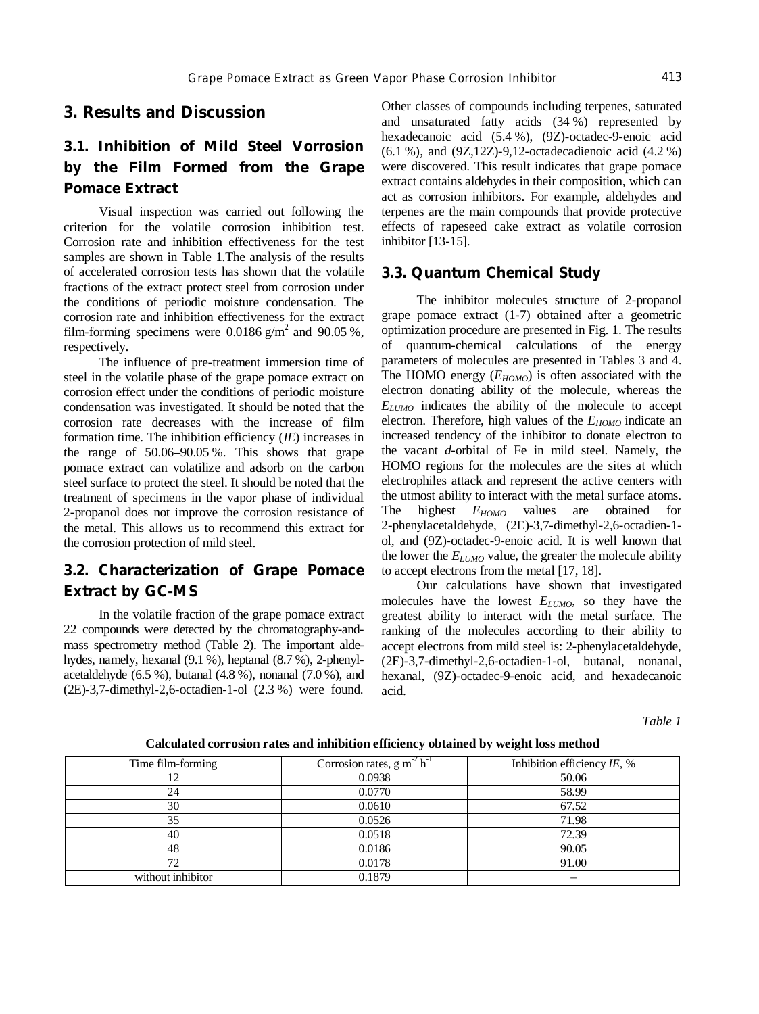### **3. Results and Discussion**

# **3.1. Inhibition of Mild Steel Vorrosion by the Film Formed from the Grape Pomace Extract**

Visual inspection was carried out following the criterion for the volatile corrosion inhibition test. Corrosion rate and inhibition effectiveness for the test samples are shown in Table 1.The analysis of the results of accelerated corrosion tests has shown that the volatile fractions of the extract protect steel from corrosion under the conditions of periodic moisture condensation. The corrosion rate and inhibition effectiveness for the extract film-forming specimens were 0.0186  $g/m^2$  and 90.05 %, respectively.

The influence of pre-treatment immersion time of steel in the volatile phase of the grape pomace extract on corrosion effect under the conditions of periodic moisture condensation was investigated. It should be noted that the corrosion rate decreases with the increase of film formation time. The inhibition efficiency (*IE*) increases in the range of 50.06–90.05 %. This shows that grape pomace extract can volatilize and adsorb on the carbon steel surface to protect the steel. It should be noted that the treatment of specimens in the vapor phase of individual 2-propanol does not improve the corrosion resistance of the metal. This allows us to recommend this extract for the corrosion protection of mild steel.

# **3.2. Characterization of Grape Pomace Extract by GC-MS**

In the volatile fraction of the grape pomace extract 22 compounds were detected by the chromatography-andmass spectrometry method (Table 2). The important aldehydes, namely, hexanal (9.1 %), heptanal (8.7 %), 2-phenylacetaldehyde (6.5 %), butanal (4.8 %), nonanal (7.0 %), and (2E)-3,7-dimethyl-2,6-octadien-1-ol (2.3 %) were found.

Other classes of compounds including terpenes, saturated and unsaturated fatty acids (34 %) represented by hexadecanoic acid (5.4 %), (9Z)-octadec-9-enoic acid (6.1 %), and (9Z,12Z)-9,12-octadecadienoic acid (4.2 %) were discovered. This result indicates that grape pomace extract contains aldehydes in their composition, which can act as corrosion inhibitors. For example, aldehydes and terpenes are the main compounds that provide protective effects of rapeseed cake extract as volatile corrosion inhibitor [13-15].

# **3.3. Quantum Chemical Study**

The inhibitor molecules structure of 2-propanol grape pomace extract (1-7) obtained after a geometric optimization procedure are presented in Fig. 1. The results of quantum-chemical calculations of the energy parameters of molecules are presented in Tables 3 and 4. The HOMO energy (*EHOMO*) is often associated with the electron donating ability of the molecule, whereas the *ELUMO* indicates the ability of the molecule to accept electron. Therefore, high values of the *EHOMO* indicate an increased tendency of the inhibitor to donate electron to the vacant *d*-orbital of Fe in mild steel. Namely, the HOMO regions for the molecules are the sites at which electrophiles attack and represent the active centers with the utmost ability to interact with the metal surface atoms. The highest *EHOMO* values are obtained for 2-phenylacetaldehyde, (2E)-3,7-dimethyl-2,6-octadien-1 ol, and (9Z)-octadec-9-enoic acid. It is well known that the lower the *ELUMO* value, the greater the molecule ability to accept electrons from the metal [17, 18].

Our calculations have shown that investigated molecules have the lowest *ELUMO*, so they have the greatest ability to interact with the metal surface. The ranking of the molecules according to their ability to accept electrons from mild steel is: 2-phenylacetaldehyde, (2E)-3,7-dimethyl-2,6-octadien-1-ol, butanal, nonanal, hexanal, (9Z)-octadec-9-enoic acid, and hexadecanoic acid.

*Table 1* 

| Time film-forming | Corrosion rates, $g m^2 h^T$ | Inhibition efficiency IE, % |
|-------------------|------------------------------|-----------------------------|
|                   | 0.0938                       | 50.06                       |
| 24                | 0.0770                       | 58.99                       |
| 30                | 0.0610                       | 67.52                       |
| 35                | 0.0526                       | 71.98                       |
| 40                | 0.0518                       | 72.39                       |
| 48                | 0.0186                       | 90.05                       |
| 72                | 0.0178                       | 91.00                       |
| without inhibitor | 0.1879                       | $\overline{\phantom{m}}$    |

### **Calculated corrosion rates and inhibition efficiency obtained by weight loss method**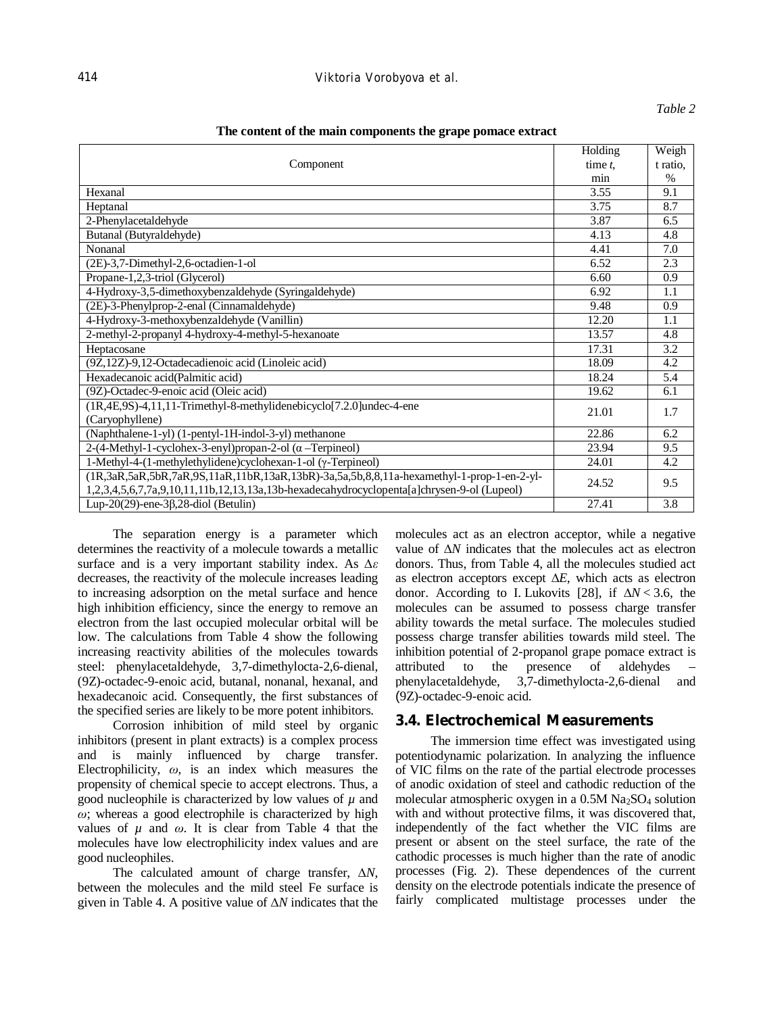### *Table 2*

#### **The content of the main components the grape pomace extract**

|                                                                                            | Holding    | Weigh         |
|--------------------------------------------------------------------------------------------|------------|---------------|
| Component                                                                                  | time $t$ , | t ratio,      |
|                                                                                            | min        | $\frac{0}{0}$ |
| Hexanal                                                                                    | 3.55       | 9.1           |
| Heptanal                                                                                   | 3.75       | 8.7           |
| 2-Phenylacetaldehyde                                                                       | 3.87       | 6.5           |
| Butanal (Butyraldehyde)                                                                    | 4.13       | 4.8           |
| Nonanal                                                                                    | 4.41       | 7.0           |
| (2E)-3,7-Dimethyl-2,6-octadien-1-ol                                                        | 6.52       | 2.3           |
| Propane-1,2,3-triol (Glycerol)                                                             | 6.60       | 0.9           |
| 4-Hydroxy-3,5-dimethoxybenzaldehyde (Syringaldehyde)                                       | 6.92       | 1.1           |
| (2E)-3-Phenylprop-2-enal (Cinnamaldehyde)                                                  | 9.48       | 0.9           |
| 4-Hydroxy-3-methoxybenzaldehyde (Vanillin)                                                 | 12.20      | 1.1           |
| 2-methyl-2-propanyl 4-hydroxy-4-methyl-5-hexanoate                                         | 13.57      | 4.8           |
| Heptacosane                                                                                | 17.31      | 3.2           |
| (9Z,12Z)-9,12-Octadecadienoic acid (Linoleic acid)                                         | 18.09      | 4.2           |
| Hexadecanoic acid(Palmitic acid)                                                           | 18.24      | 5.4           |
| (9Z)-Octadec-9-enoic acid (Oleic acid)                                                     | 19.62      | 6.1           |
| (1R,4E,9S)-4,11,11-Trimethyl-8-methylidenebicyclo[7.2.0]undec-4-ene                        | 21.01      | 1.7           |
| (Caryophyllene)                                                                            |            |               |
| (Naphthalene-1-yl) (1-pentyl-1H-indol-3-yl) methanone                                      | 22.86      | 6.2           |
| $2-(4-Methyl-1-cyclohex-3-enyl)$ propan-2-ol ( $\alpha$ -Terpineol)                        | 23.94      | 9.5           |
| 1-Methyl-4-(1-methylethylidene)cyclohexan-1-ol (γ-Terpineol)                               | 24.01      | 4.2           |
| (1R,3aR,5aR,5bR,7aR,9S,11aR,11bR,13aR,13bR)-3a,5a,5b,8,8,11a-hexamethyl-1-prop-1-en-2-yl-  | 24.52      | 9.5           |
| 1,2,3,4,5,6,7,7a,9,10,11,11b,12,13,13a,13b-hexadecahydrocyclopenta[a]chrysen-9-ol (Lupeol) |            |               |
| Lup-20(29)-ene-3 $\beta$ , 28-diol (Betulin)                                               | 27.41      | 3.8           |

The separation energy is a parameter which determines the reactivity of a molecule towards a metallic surface and is a very important stability index. As *∆ε* decreases, the reactivity of the molecule increases leading to increasing adsorption on the metal surface and hence high inhibition efficiency, since the energy to remove an electron from the last occupied molecular orbital will be low. The calculations from Table 4 show the following increasing reactivity abilities of the molecules towards steel: phenylacetaldehyde, 3,7-dimethylocta-2,6-dienal, (9Z)-octadec-9-enoic acid, butanal, nonanal, hexanal, and hexadecanoic acid. Consequently, the first substances of the specified series are likely to be more potent inhibitors.

Corrosion inhibition of mild steel by organic inhibitors (present in plant extracts) is a complex process and is mainly influenced by charge transfer. Electrophilicity, *ω*, is an index which measures the propensity of chemical specie to accept electrons. Thus, a good nucleophile is characterized by low values of  $\mu$  and *ω*; whereas a good electrophile is characterized by high values of  $\mu$  and  $\omega$ . It is clear from Table 4 that the molecules have low electrophilicity index values and are good nucleophiles.

The calculated amount of charge transfer, ∆*N*, between the molecules and the mild steel Fe surface is given in Table 4. A positive value of ∆*N* indicates that the

molecules act as an electron acceptor, while a negative value of ∆*N* indicates that the molecules act as electron donors. Thus, from Table 4, all the molecules studied act as electron acceptors except ∆*E*, which acts as electron donor. According to I. Lukovits [28], if ∆*N* < 3.6, the molecules can be assumed to possess charge transfer ability towards the metal surface. The molecules studied possess charge transfer abilities towards mild steel. The inhibition potential of 2-propanol grape pomace extract is attributed to the presence of aldehydes – phenylacetaldehyde, 3,7-dimethylocta-2,6-dienal and (9Z)-octadec-9-enoic acid.

### **3.4. Electrochemical Measurements**

The immersion time effect was investigated using potentiodynamic polarization. In analyzing the influence of VIC films on the rate of the partial electrode processes of anodic oxidation of steel and cathodic reduction of the molecular atmospheric oxygen in a  $0.5M$  Na<sub>2</sub>SO<sub>4</sub> solution with and without protective films, it was discovered that, independently of the fact whether the VIC films are present or absent on the steel surface, the rate of the cathodic processes is much higher than the rate of anodic processes (Fig. 2). These dependences of the current density on the electrode potentials indicate the presence of fairly complicated multistage processes under the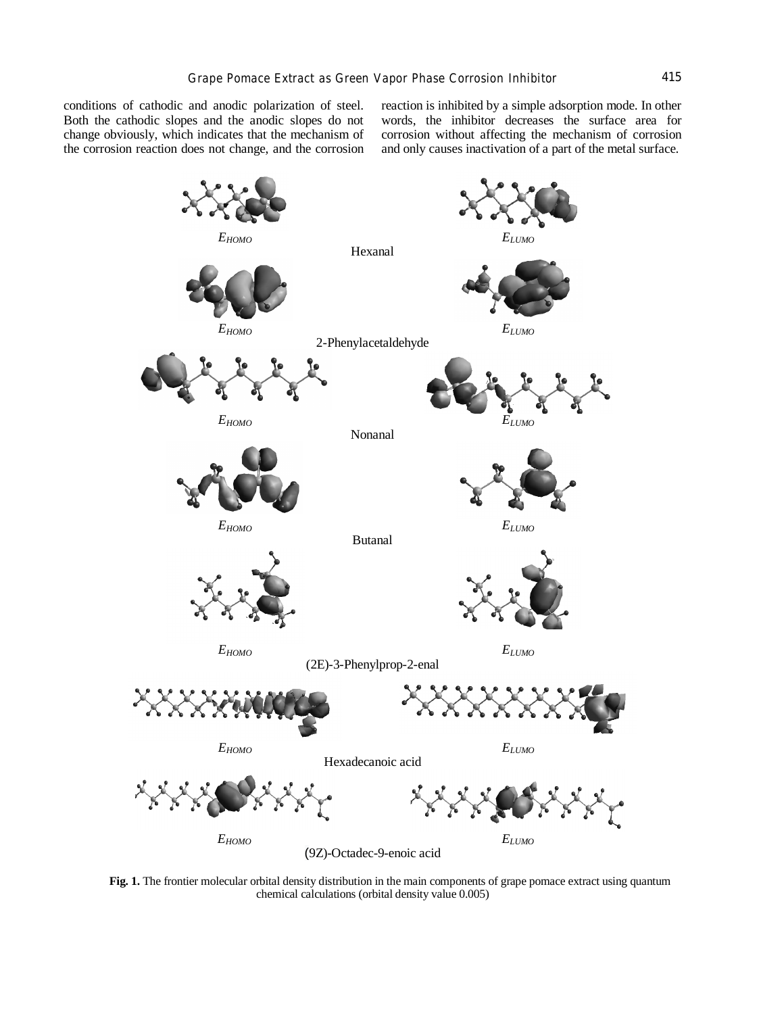conditions of cathodic and anodic polarization of steel. Both the cathodic slopes and the anodic slopes do not change obviously, which indicates that the mechanism of the corrosion reaction does not change, and the corrosion

reaction is inhibited by a simple adsorption mode. In other words, the inhibitor decreases the surface area for corrosion without affecting the mechanism of corrosion and only causes inactivation of a part of the metal surface.



**Fig. 1.** The frontier molecular orbital density distribution in the main components of grape pomace extract using quantum chemical calculations (orbital density value 0.005)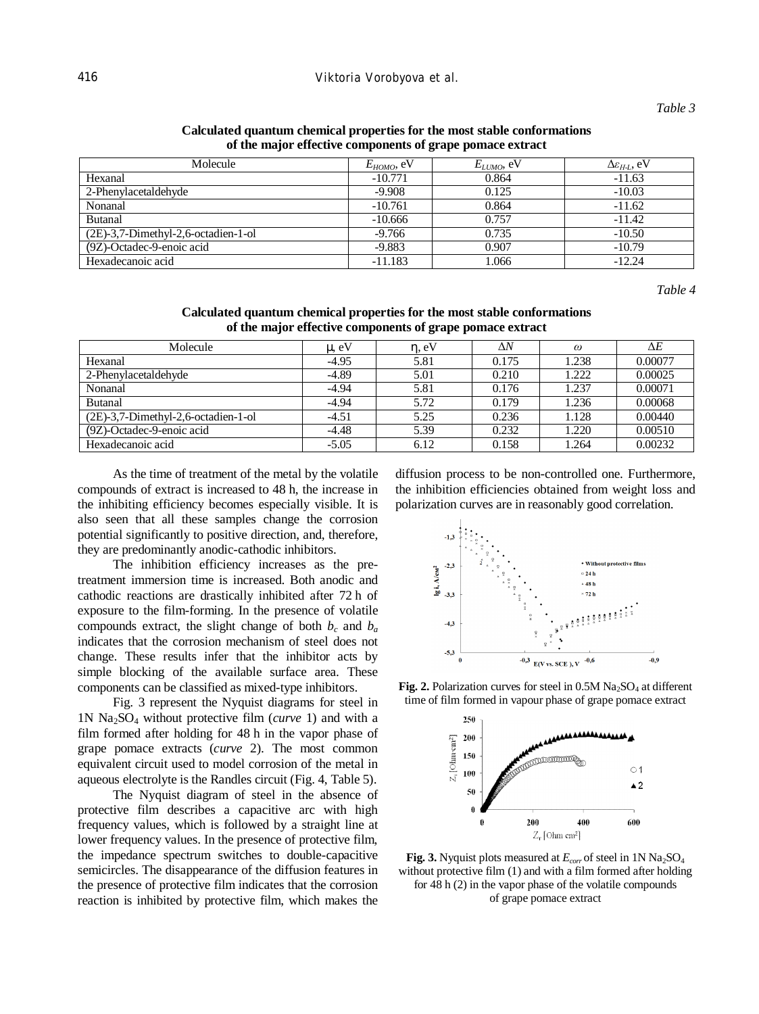| Molecule                              | $E_{HOMO}$ , eV | $E_{LUMO}$ , eV | $\Delta \varepsilon_{H-I}$ , eV |
|---------------------------------------|-----------------|-----------------|---------------------------------|
| Hexanal                               | $-10.771$       | 0.864           | $-11.63$                        |
| 2-Phenylacetaldehyde                  | $-9.908$        | 0.125           | $-10.03$                        |
| Nonanal                               | $-10.761$       | 0.864           | $-11.62$                        |
| <b>Butanal</b>                        | $-10.666$       | 0.757           | $-11.42$                        |
| $(2E)-3,7-Dimethyl-2,6-octadien-1-ol$ | $-9.766$        | 0.735           | $-10.50$                        |
| (9Z)-Octadec-9-enoic acid             | $-9.883$        | 0.907           | $-10.79$                        |
| Hexadecanoic acid                     | $-11.183$       | 1.066           | $-12.24$                        |

### **Calculated quantum chemical properties for the most stable conformations of the major effective components of grape pomace extract**

*Table 4* 

**Calculated quantum chemical properties for the most stable conformations of the major effective components of grape pomace extract** 

| Molecule                               | $m$ eV  | $h_{\rm e}$ eV | ΔN    | $\omega$ | $\Delta E$ |
|----------------------------------------|---------|----------------|-------|----------|------------|
| Hexanal                                | $-4.95$ | 5.81           | 0.175 | 1.238    | 0.00077    |
| 2-Phenylacetaldehyde                   | $-4.89$ | 5.01           | 0.210 | 1.222    | 0.00025    |
| Nonanal                                | $-4.94$ | 5.81           | 0.176 | 1.237    | 0.00071    |
| <b>Butanal</b>                         | $-4.94$ | 5.72           | 0.179 | 1.236    | 0.00068    |
| $(2E)$ -3,7-Dimethyl-2,6-octadien-1-ol | $-4.51$ | 5.25           | 0.236 | 1.128    | 0.00440    |
| (9Z)-Octadec-9-enoic acid              | $-4.48$ | 5.39           | 0.232 | 1.220    | 0.00510    |
| Hexadecanoic acid                      | $-5.05$ | 6.12           | 0.158 | 1.264    | 0.00232    |

As the time of treatment of the metal by the volatile compounds of extract is increased to 48 h, the increase in the inhibiting efficiency becomes especially visible. It is also seen that all these samples change the corrosion potential significantly to positive direction, and, therefore, they are predominantly anodic-cathodic inhibitors.

The inhibition efficiency increases as the pretreatment immersion time is increased. Both anodic and cathodic reactions are drastically inhibited after 72 h of exposure to the film-forming. In the presence of volatile compounds extract, the slight change of both  $b_c$  and  $b_a$ indicates that the corrosion mechanism of steel does not change. These results infer that the inhibitor acts by simple blocking of the available surface area. These components can be classified as mixed-type inhibitors.

Fig. 3 represent the Nyquist diagrams for steel in 1N Na2SO<sup>4</sup> without protective film (*curve* 1) and with a film formed after holding for 48 h in the vapor phase of grape pomace extracts (*curve* 2). The most common equivalent circuit used to model corrosion of the metal in aqueous electrolyte is the Randles circuit (Fig. 4, Table 5).

The Nyquist diagram of steel in the absence of protective film describes a capacitive arc with high frequency values, which is followed by a straight line at lower frequency values. In the presence of protective film, the impedance spectrum switches to double-capacitive semicircles. The disappearance of the diffusion features in the presence of protective film indicates that the corrosion reaction is inhibited by protective film, which makes the

diffusion process to be non-controlled one. Furthermore, the inhibition efficiencies obtained from weight loss and polarization curves are in reasonably good correlation.



**Fig. 2.** Polarization curves for steel in  $0.5M$  Na<sub>2</sub>SO<sub>4</sub> at different time of film formed in vapour phase of grape pomace extract



**Fig.** 3. Nyquist plots measured at  $E_{corr}$  of steel in 1N Na<sub>2</sub>SO<sub>4</sub> without protective film (1) and with a film formed after holding for 48 h (2) in the vapor phase of the volatile compounds of grape pomace extract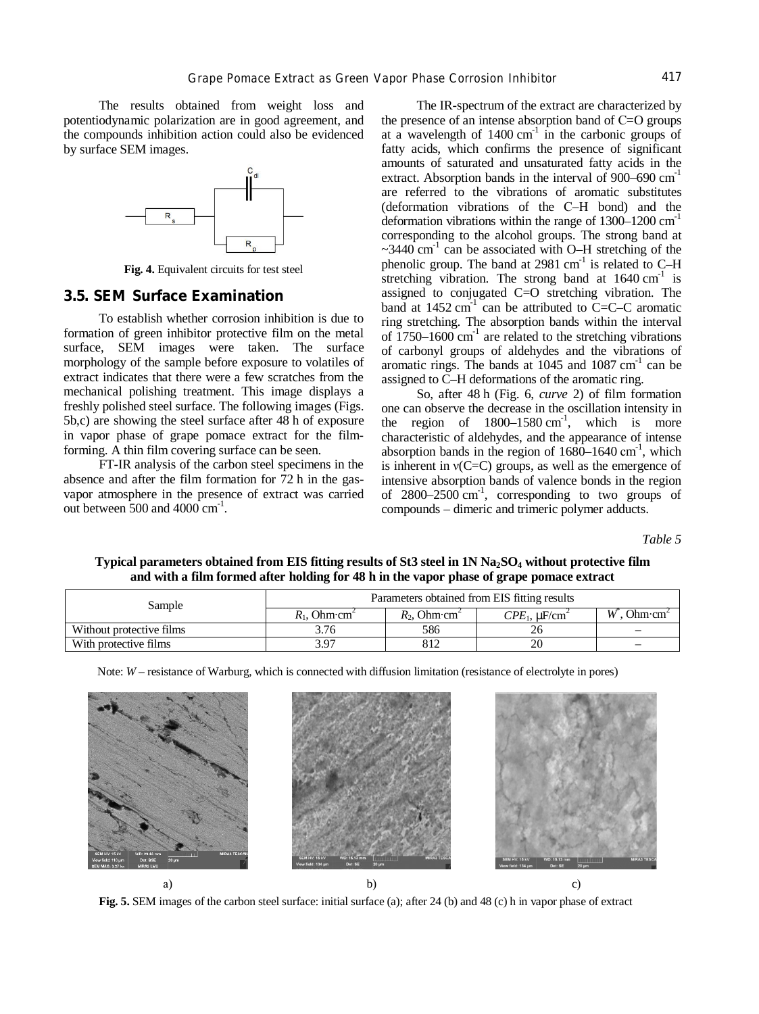The results obtained from weight loss and potentiodynamic polarization are in good agreement, and the compounds inhibition action could also be evidenced by surface SEM images.



**Fig. 4.** Equivalent circuits for test steel

### **3.5. SEM Surface Examination**

To establish whether corrosion inhibition is due to formation of green inhibitor protective film on the metal surface, SEM images were taken. The surface morphology of the sample before exposure to volatiles of extract indicates that there were a few scratches from the mechanical polishing treatment. This image displays a freshly polished steel surface. The following images (Figs. 5b,c) are showing the steel surface after 48 h of exposure in vapor phase of grape pomace extract for the filmforming. A thin film covering surface can be seen.

FT-IR analysis of the carbon steel specimens in the absence and after the film formation for 72 h in the gasvapor atmosphere in the presence of extract was carried out between  $500$  and  $4000$   $cm^{-1}$ .

The IR-spectrum of the extract are characterized by the presence of an intense absorption band of С=O groups at a wavelength of  $1400 \text{ cm}^{-1}$  in the carbonic groups of fatty acids, which confirms the presence of significant amounts of saturated and unsaturated fatty acids in the extract. Absorption bands in the interval of  $900-690$  cm<sup>-1</sup> are referred to the vibrations of aromatic substitutes (deformation vibrations of the С–Н bond) and the deformation vibrations within the range of  $1300-1200$  cm<sup>-1</sup> corresponding to the alcohol groups. The strong band at  $\sim$ 3440 cm<sup>-1</sup> can be associated with O–H stretching of the phenolic group. The band at 2981 cm<sup>-1</sup> is related to C-H stretching vibration. The strong band at  $1640 \text{ cm}^{-1}$  is assigned to conjugated C=O stretching vibration. The band at 1452 cm<sup>-1</sup> can be attributed to  $\text{C}=\text{C}-\text{C}$  aromatic ring stretching. The absorption bands within the interval of  $1750-1600$  cm<sup>-1</sup> are related to the stretching vibrations of carbonyl groups of aldehydes and the vibrations of aromatic rings. The bands at  $1045$  and  $1087$  cm<sup>-1</sup> can be assigned to C–H deformations of the aromatic ring.

So, after 48 h (Fig. 6, *curve* 2) of film formation one can observe the decrease in the oscillation intensity in the region of  $1800-1580$  cm<sup>-1</sup>, which is more characteristic of aldehydes, and the appearance of intense absorption bands in the region of  $1680-1640$  cm<sup>-1</sup>, which is inherent in  $v(C=C)$  groups, as well as the emergence of intensive absorption bands of valence bonds in the region of  $2800-2500$  cm<sup>-1</sup>, corresponding to two groups of compounds – dimeric and trimeric polymer adducts.

*Table 5* 

Typical parameters obtained from EIS fitting results of St3 steel in 1N Na<sub>2</sub>SO<sub>4</sub> without protective film **and with a film formed after holding for 48 h in the vapor phase of grape pomace extract** 

| Sample                   | Parameters obtained from EIS fitting results |                                     |                                   |                                  |  |
|--------------------------|----------------------------------------------|-------------------------------------|-----------------------------------|----------------------------------|--|
|                          | $R_1$ , Ohm $\cdot$ cm <sup>2</sup>          | $R_2$ , Ohm $\cdot$ cm <sup>2</sup> | $CPE_1$ , $\mu$ F/cm <sup>2</sup> | W<br>Ohm $\cdot$ cm <sup>2</sup> |  |
| Without protective films | 3.76                                         | 586                                 |                                   |                                  |  |
| With protective films    | 3.97                                         | 812                                 |                                   |                                  |  |

Note: *W* – resistance of Warburg, which is connected with diffusion limitation (resistance of electrolyte in pores)



**Fig. 5.** SEM images of the carbon steel surface: initial surface (a); after 24 (b) and 48 (c) h in vapor phase of extract